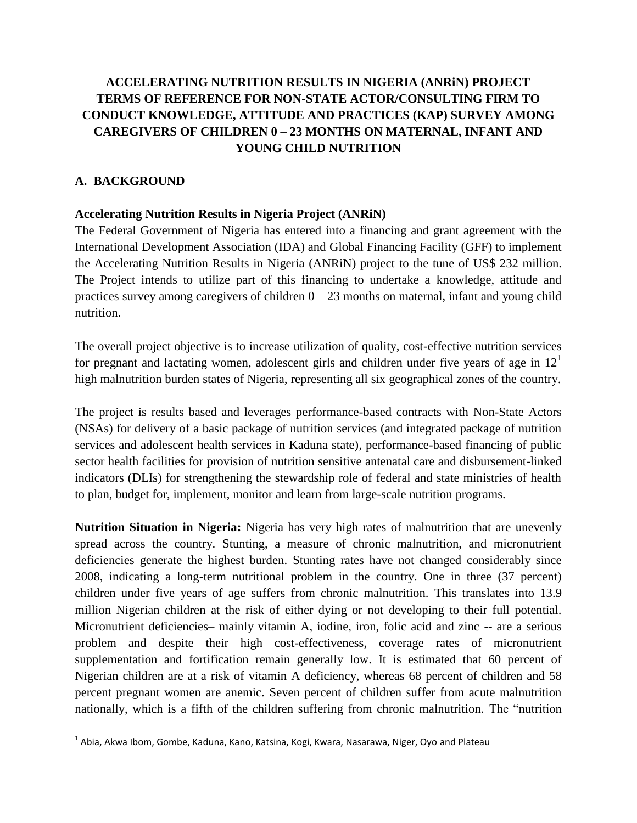# **ACCELERATING NUTRITION RESULTS IN NIGERIA (ANRiN) PROJECT TERMS OF REFERENCE FOR NON-STATE ACTOR/CONSULTING FIRM TO CONDUCT KNOWLEDGE, ATTITUDE AND PRACTICES (KAP) SURVEY AMONG CAREGIVERS OF CHILDREN 0 – 23 MONTHS ON MATERNAL, INFANT AND YOUNG CHILD NUTRITION**

# **A. BACKGROUND**

 $\overline{\phantom{a}}$ 

# **Accelerating Nutrition Results in Nigeria Project (ANRiN)**

The Federal Government of Nigeria has entered into a financing and grant agreement with the International Development Association (IDA) and Global Financing Facility (GFF) to implement the Accelerating Nutrition Results in Nigeria (ANRiN) project to the tune of US\$ 232 million. The Project intends to utilize part of this financing to undertake a knowledge, attitude and practices survey among caregivers of children  $0 - 23$  months on maternal, infant and young child nutrition.

The overall project objective is to increase utilization of quality, cost-effective nutrition services for pregnant and lactating women, adolescent girls and children under five years of age in  $12<sup>1</sup>$ high malnutrition burden states of Nigeria, representing all six geographical zones of the country.

The project is results based and leverages performance-based contracts with Non-State Actors (NSAs) for delivery of a basic package of nutrition services (and integrated package of nutrition services and adolescent health services in Kaduna state), performance-based financing of public sector health facilities for provision of nutrition sensitive antenatal care and disbursement-linked indicators (DLIs) for strengthening the stewardship role of federal and state ministries of health to plan, budget for, implement, monitor and learn from large-scale nutrition programs.

**Nutrition Situation in Nigeria:** Nigeria has very high rates of malnutrition that are unevenly spread across the country. Stunting, a measure of chronic malnutrition, and micronutrient deficiencies generate the highest burden. Stunting rates have not changed considerably since 2008, indicating a long-term nutritional problem in the country. One in three (37 percent) children under five years of age suffers from chronic malnutrition. This translates into 13.9 million Nigerian children at the risk of either dying or not developing to their full potential. Micronutrient deficiencies– mainly vitamin A, iodine, iron, folic acid and zinc -- are a serious problem and despite their high cost-effectiveness, coverage rates of micronutrient supplementation and fortification remain generally low. It is estimated that 60 percent of Nigerian children are at a risk of vitamin A deficiency, whereas 68 percent of children and 58 percent pregnant women are anemic. Seven percent of children suffer from acute malnutrition nationally, which is a fifth of the children suffering from chronic malnutrition. The "nutrition

 $^{1}$  Abia, Akwa Ibom, Gombe, Kaduna, Kano, Katsina, Kogi, Kwara, Nasarawa, Niger, Oyo and Plateau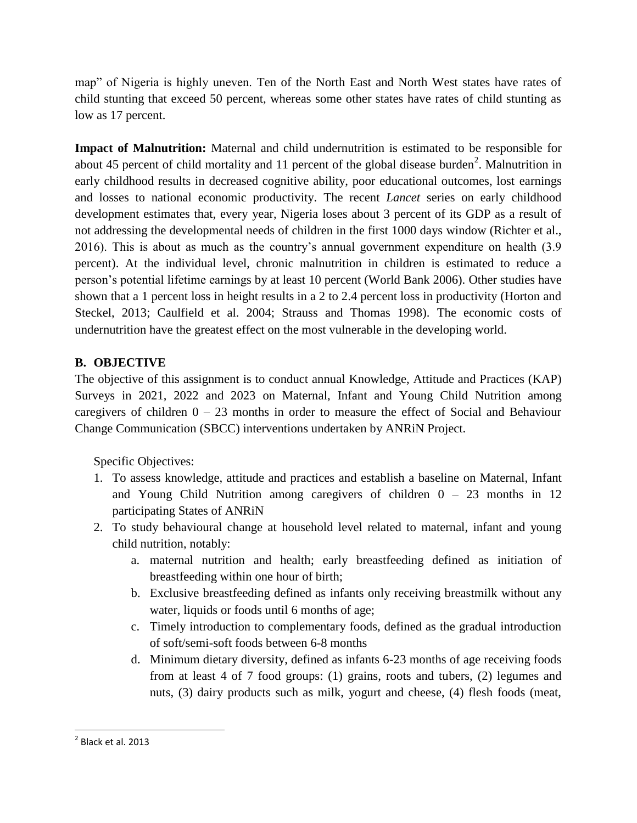map" of Nigeria is highly uneven. Ten of the North East and North West states have rates of child stunting that exceed 50 percent, whereas some other states have rates of child stunting as low as 17 percent.

**Impact of Malnutrition:** Maternal and child undernutrition is estimated to be responsible for about 45 percent of child mortality and 11 percent of the global disease burden<sup>2</sup>. Malnutrition in early childhood results in decreased cognitive ability, poor educational outcomes, lost earnings and losses to national economic productivity. The recent *Lancet* series on early childhood development estimates that, every year, Nigeria loses about 3 percent of its GDP as a result of not addressing the developmental needs of children in the first 1000 days window (Richter et al., 2016). This is about as much as the country"s annual government expenditure on health (3.9 percent). At the individual level, chronic malnutrition in children is estimated to reduce a person"s potential lifetime earnings by at least 10 percent (World Bank 2006). Other studies have shown that a 1 percent loss in height results in a 2 to 2.4 percent loss in productivity (Horton and Steckel, 2013; Caulfield et al. 2004; Strauss and Thomas 1998). The economic costs of undernutrition have the greatest effect on the most vulnerable in the developing world.

# **B. OBJECTIVE**

The objective of this assignment is to conduct annual Knowledge, Attitude and Practices (KAP) Surveys in 2021, 2022 and 2023 on Maternal, Infant and Young Child Nutrition among caregivers of children  $0 - 23$  months in order to measure the effect of Social and Behaviour Change Communication (SBCC) interventions undertaken by ANRiN Project.

Specific Objectives:

- 1. To assess knowledge, attitude and practices and establish a baseline on Maternal, Infant and Young Child Nutrition among caregivers of children  $0 - 23$  months in 12 participating States of ANRiN
- 2. To study behavioural change at household level related to maternal, infant and young child nutrition, notably:
	- a. maternal nutrition and health; early breastfeeding defined as initiation of breastfeeding within one hour of birth;
	- b. Exclusive breastfeeding defined as infants only receiving breastmilk without any water, liquids or foods until 6 months of age;
	- c. Timely introduction to complementary foods, defined as the gradual introduction of soft/semi-soft foods between 6-8 months
	- d. Minimum dietary diversity, defined as infants 6-23 months of age receiving foods from at least 4 of 7 food groups: (1) grains, roots and tubers, (2) legumes and nuts, (3) dairy products such as milk, yogurt and cheese, (4) flesh foods (meat,

 $\overline{\phantom{a}}$ 

 $<sup>2</sup>$  Black et al. 2013</sup>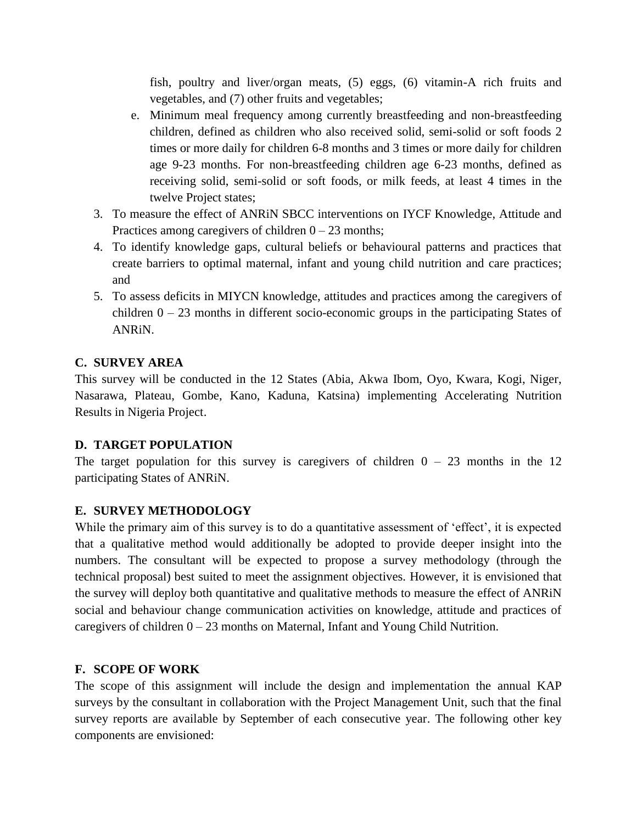fish, poultry and liver/organ meats, (5) eggs, (6) vitamin-A rich fruits and vegetables, and (7) other fruits and vegetables;

- e. Minimum meal frequency among currently breastfeeding and non-breastfeeding children, defined as children who also received solid, semi-solid or soft foods 2 times or more daily for children 6-8 months and 3 times or more daily for children age 9-23 months. For non-breastfeeding children age 6-23 months, defined as receiving solid, semi-solid or soft foods, or milk feeds, at least 4 times in the twelve Project states;
- 3. To measure the effect of ANRiN SBCC interventions on IYCF Knowledge, Attitude and Practices among caregivers of children  $0 - 23$  months;
- 4. To identify knowledge gaps, cultural beliefs or behavioural patterns and practices that create barriers to optimal maternal, infant and young child nutrition and care practices; and
- 5. To assess deficits in MIYCN knowledge, attitudes and practices among the caregivers of children  $0 - 23$  months in different socio-economic groups in the participating States of ANRiN.

# **C. SURVEY AREA**

This survey will be conducted in the 12 States (Abia, Akwa Ibom, Oyo, Kwara, Kogi, Niger, Nasarawa, Plateau, Gombe, Kano, Kaduna, Katsina) implementing Accelerating Nutrition Results in Nigeria Project.

# **D. TARGET POPULATION**

The target population for this survey is caregivers of children  $0 - 23$  months in the 12 participating States of ANRiN.

# **E. SURVEY METHODOLOGY**

While the primary aim of this survey is to do a quantitative assessment of 'effect', it is expected that a qualitative method would additionally be adopted to provide deeper insight into the numbers. The consultant will be expected to propose a survey methodology (through the technical proposal) best suited to meet the assignment objectives. However, it is envisioned that the survey will deploy both quantitative and qualitative methods to measure the effect of ANRiN social and behaviour change communication activities on knowledge, attitude and practices of caregivers of children  $0 - 23$  months on Maternal, Infant and Young Child Nutrition.

# **F. SCOPE OF WORK**

The scope of this assignment will include the design and implementation the annual KAP surveys by the consultant in collaboration with the Project Management Unit, such that the final survey reports are available by September of each consecutive year. The following other key components are envisioned: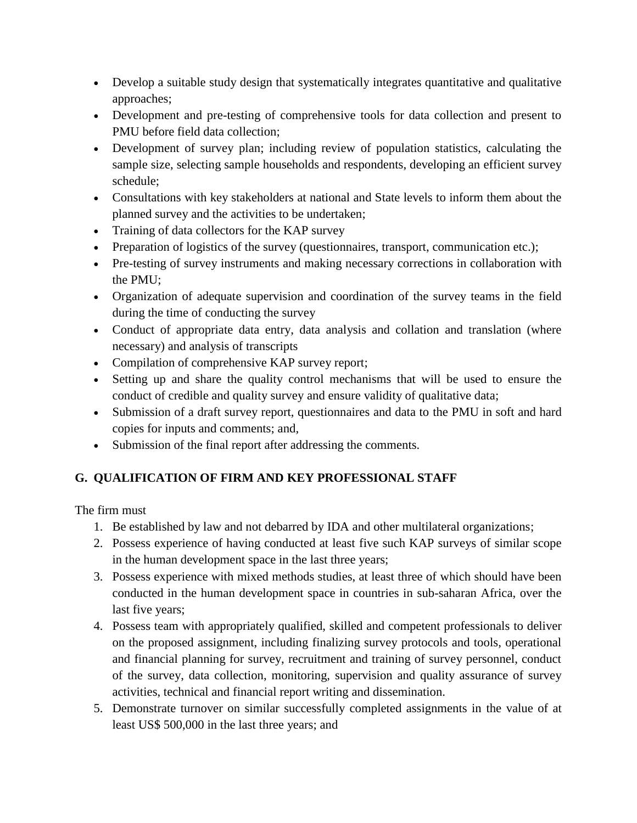- Develop a suitable study design that systematically integrates quantitative and qualitative approaches;
- Development and pre-testing of comprehensive tools for data collection and present to PMU before field data collection;
- Development of survey plan; including review of population statistics, calculating the sample size, selecting sample households and respondents, developing an efficient survey schedule;
- Consultations with key stakeholders at national and State levels to inform them about the planned survey and the activities to be undertaken;
- Training of data collectors for the KAP survey
- Preparation of logistics of the survey (questionnaires, transport, communication etc.);
- Pre-testing of survey instruments and making necessary corrections in collaboration with the PMU;
- Organization of adequate supervision and coordination of the survey teams in the field during the time of conducting the survey
- Conduct of appropriate data entry, data analysis and collation and translation (where necessary) and analysis of transcripts
- Compilation of comprehensive KAP survey report;
- Setting up and share the quality control mechanisms that will be used to ensure the conduct of credible and quality survey and ensure validity of qualitative data;
- Submission of a draft survey report, questionnaires and data to the PMU in soft and hard copies for inputs and comments; and,
- Submission of the final report after addressing the comments.

# **G. QUALIFICATION OF FIRM AND KEY PROFESSIONAL STAFF**

The firm must

- 1. Be established by law and not debarred by IDA and other multilateral organizations;
- 2. Possess experience of having conducted at least five such KAP surveys of similar scope in the human development space in the last three years;
- 3. Possess experience with mixed methods studies, at least three of which should have been conducted in the human development space in countries in sub-saharan Africa, over the last five years;
- 4. Possess team with appropriately qualified, skilled and competent professionals to deliver on the proposed assignment, including finalizing survey protocols and tools, operational and financial planning for survey, recruitment and training of survey personnel, conduct of the survey, data collection, monitoring, supervision and quality assurance of survey activities, technical and financial report writing and dissemination.
- 5. Demonstrate turnover on similar successfully completed assignments in the value of at least US\$ 500,000 in the last three years; and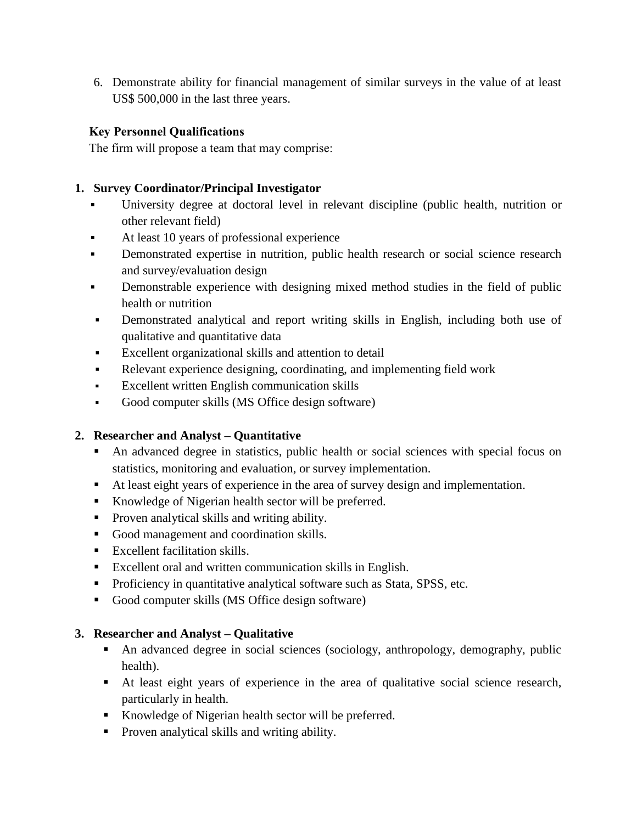6. Demonstrate ability for financial management of similar surveys in the value of at least US\$ 500,000 in the last three years.

# **Key Personnel Qualifications**

The firm will propose a team that may comprise:

# **1. Survey Coordinator/Principal Investigator**

- University degree at doctoral level in relevant discipline (public health, nutrition or other relevant field)
- At least 10 years of professional experience
- **•** Demonstrated expertise in nutrition, public health research or social science research and survey/evaluation design
- **•** Demonstrable experience with designing mixed method studies in the field of public health or nutrition
- Demonstrated analytical and report writing skills in English, including both use of qualitative and quantitative data
- Excellent organizational skills and attention to detail
- Relevant experience designing, coordinating, and implementing field work
- Excellent written English communication skills
- Good computer skills (MS Office design software)

# **2. Researcher and Analyst – Quantitative**

- An advanced degree in statistics, public health or social sciences with special focus on statistics, monitoring and evaluation, or survey implementation.
- At least eight years of experience in the area of survey design and implementation.
- Knowledge of Nigerian health sector will be preferred.
- **Proven analytical skills and writing ability.**
- Good management and coordination skills.
- Excellent facilitation skills.
- Excellent oral and written communication skills in English.
- **Proficiency in quantitative analytical software such as Stata, SPSS, etc.**
- Good computer skills (MS Office design software)

# **3. Researcher and Analyst – Qualitative**

- An advanced degree in social sciences (sociology, anthropology, demography, public health).
- At least eight years of experience in the area of qualitative social science research, particularly in health.
- Knowledge of Nigerian health sector will be preferred.
- Proven analytical skills and writing ability.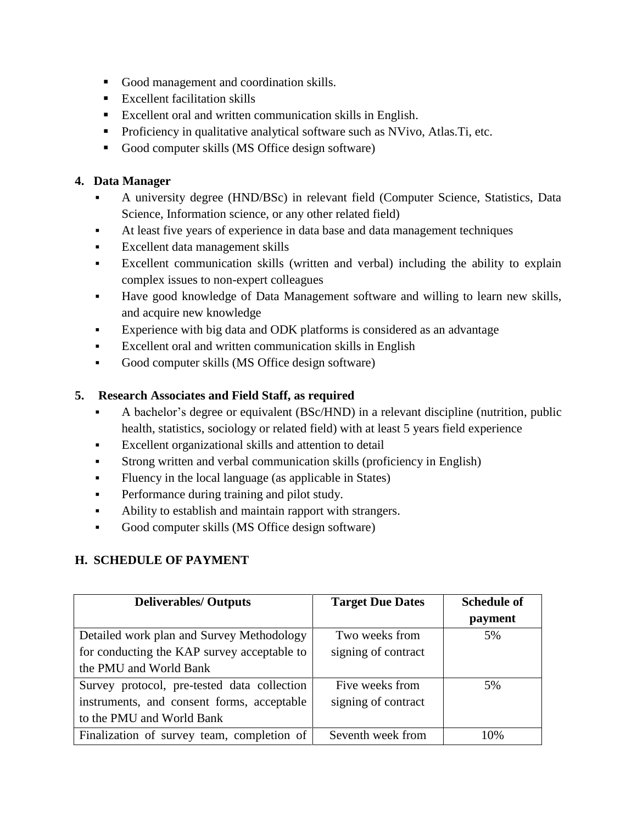- Good management and coordination skills.
- $\blacksquare$  Excellent facilitation skills
- Excellent oral and written communication skills in English.
- **Proficiency in qualitative analytical software such as NVivo, Atlas. Ti, etc.**
- Good computer skills (MS Office design software)

# **4. Data Manager**

- A university degree (HND/BSc) in relevant field (Computer Science, Statistics, Data Science, Information science, or any other related field)
- At least five years of experience in data base and data management techniques
- Excellent data management skills
- Excellent communication skills (written and verbal) including the ability to explain complex issues to non-expert colleagues
- Have good knowledge of Data Management software and willing to learn new skills, and acquire new knowledge
- **Experience with big data and ODK platforms is considered as an advantage**
- Excellent oral and written communication skills in English
- Good computer skills (MS Office design software)

# **5. Research Associates and Field Staff, as required**

- A bachelor's degree or equivalent (BSc/HND) in a relevant discipline (nutrition, public health, statistics, sociology or related field) with at least 5 years field experience
- Excellent organizational skills and attention to detail
- Strong written and verbal communication skills (proficiency in English)
- Fluency in the local language (as applicable in States)
- **•** Performance during training and pilot study.
- Ability to establish and maintain rapport with strangers.
- Good computer skills (MS Office design software)

# **H. SCHEDULE OF PAYMENT**

| <b>Deliverables/ Outputs</b>                | <b>Target Due Dates</b> | <b>Schedule of</b> |
|---------------------------------------------|-------------------------|--------------------|
|                                             |                         | payment            |
| Detailed work plan and Survey Methodology   | Two weeks from          | 5%                 |
| for conducting the KAP survey acceptable to | signing of contract     |                    |
| the PMU and World Bank                      |                         |                    |
| Survey protocol, pre-tested data collection | Five weeks from         | 5%                 |
| instruments, and consent forms, acceptable  | signing of contract     |                    |
| to the PMU and World Bank                   |                         |                    |
| Finalization of survey team, completion of  | Seventh week from       | 10%                |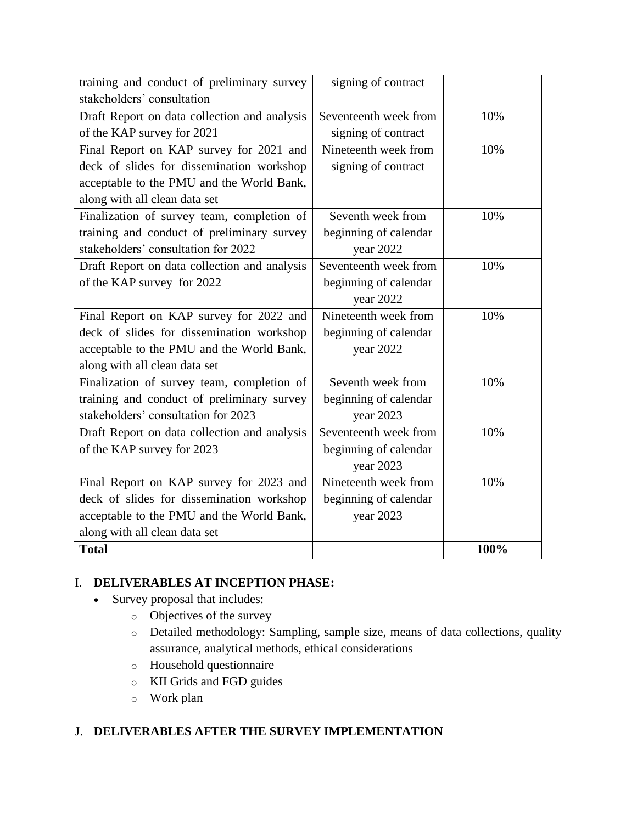| training and conduct of preliminary survey   | signing of contract   |      |
|----------------------------------------------|-----------------------|------|
| stakeholders' consultation                   |                       |      |
| Draft Report on data collection and analysis | Seventeenth week from | 10%  |
| of the KAP survey for 2021                   | signing of contract   |      |
| Final Report on KAP survey for 2021 and      | Nineteenth week from  | 10%  |
| deck of slides for dissemination workshop    | signing of contract   |      |
| acceptable to the PMU and the World Bank,    |                       |      |
| along with all clean data set                |                       |      |
| Finalization of survey team, completion of   | Seventh week from     | 10%  |
| training and conduct of preliminary survey   | beginning of calendar |      |
| stakeholders' consultation for 2022          | year 2022             |      |
| Draft Report on data collection and analysis | Seventeenth week from | 10%  |
| of the KAP survey for 2022                   | beginning of calendar |      |
|                                              | year 2022             |      |
| Final Report on KAP survey for 2022 and      | Nineteenth week from  | 10%  |
| deck of slides for dissemination workshop    | beginning of calendar |      |
| acceptable to the PMU and the World Bank,    | year 2022             |      |
| along with all clean data set                |                       |      |
| Finalization of survey team, completion of   | Seventh week from     | 10%  |
| training and conduct of preliminary survey   | beginning of calendar |      |
| stakeholders' consultation for 2023          | year 2023             |      |
| Draft Report on data collection and analysis | Seventeenth week from | 10%  |
| of the KAP survey for 2023                   | beginning of calendar |      |
|                                              | year 2023             |      |
| Final Report on KAP survey for 2023 and      | Nineteenth week from  | 10%  |
| deck of slides for dissemination workshop    | beginning of calendar |      |
| acceptable to the PMU and the World Bank,    | year 2023             |      |
| along with all clean data set                |                       |      |
| <b>Total</b>                                 |                       | 100% |

# I. **DELIVERABLES AT INCEPTION PHASE:**

- Survey proposal that includes:
	- o Objectives of the survey
	- o Detailed methodology: Sampling, sample size, means of data collections, quality assurance, analytical methods, ethical considerations
	- o Household questionnaire
	- o KII Grids and FGD guides
	- o Work plan

# J. **DELIVERABLES AFTER THE SURVEY IMPLEMENTATION**